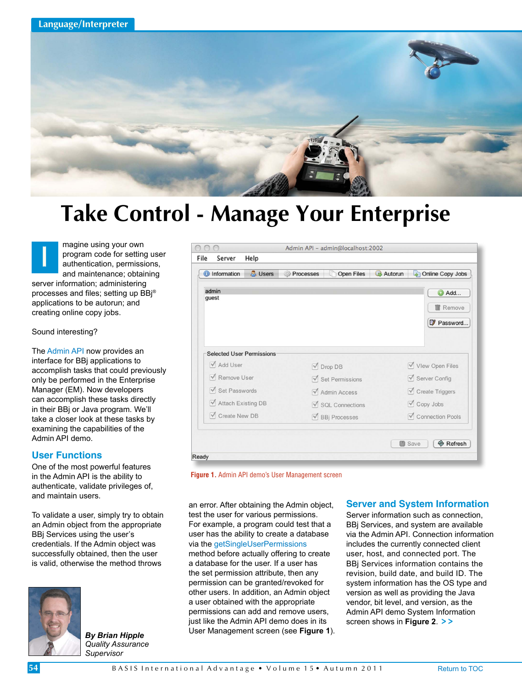

# **Take Control - Manage Your Enterprise**

magine using your own program code for setting user authentication, permissions, and maintenance; obtaining server information; administering processes and files; setting up BBj® applications to be autorun; and creating online copy jobs.  **I**

Sound interesting?

Th[e Admin API](http://documentation.basis.com/BASISHelp/WebHelp/javadocs/com/basis/api/admin/package-summary.html) now provides an interface for BBj applications to accomplish tasks that could previously only be performed in the Enterprise Manager (EM). Now developers can accomplish these tasks directly in their BBj or Java program. We'll take a closer look at these tasks by examining the capabilities of the Admin API demo.

# **User Functions**

One of the most powerful features in the Admin API is the ability to authenticate, validate privileges of, and maintain users.

To validate a user, simply try to obtain an Admin object from the appropriate BBj Services using the user's credentials. If the Admin object was successfully obtained, then the user is valid, otherwise the method throws



*By Brian Hipple Quality Assurance Supervisor*

|                                  | Admin API - admin@localhost:2002  |                                            |
|----------------------------------|-----------------------------------|--------------------------------------------|
| File<br>Help<br>Server           |                                   |                                            |
| <b>O</b> Information<br>& Users  | n<br>Open Files<br>Processes      | <b>Autorun</b><br>Online Copy Jobs<br>اتحا |
| admin                            |                                   | Add                                        |
| quest                            |                                   |                                            |
|                                  |                                   | <b>Remove</b>                              |
|                                  |                                   | Password                                   |
|                                  |                                   |                                            |
| <b>Selected User Permissions</b> |                                   |                                            |
| Add User                         | Drop DB                           | Vlew Open Files                            |
| Remove User                      | $\sqrt{\ }$ Set Permissions       | Server Config                              |
| Set Passwords                    | $\sqrt{\phantom{a}}$ Admin Access | Create Triggers                            |
| Attach Existing DB               | SQL Connections                   | Copy Jobs                                  |
| $\triangledown$ Create New DB    | ■ BBj Processes                   | Connection Pools                           |
|                                  |                                   |                                            |

**Figure 1.** Admin API demo's User Management screen

an error. After obtaining the Admin object, test the user for various permissions. For example, a program could test that a user has the ability to create a database via the [getSingleUserPermissions](http://documentation.basis.com/BASISHelp/WebHelp/javadocs/com/basis/api/admin/BBjAdminBase.html) method before actually offering to create a database for the user. If a user has the set permission attribute, then any permission can be granted/revoked for other users. In addition, an Admin object a user obtained with the appropriate permissions can add and remove users, just like the Admin API demo does in its User Management screen (see **Figure 1**).

## **Server and System Information**

Server information such as connection. BBj Services, and system are available via the Admin API. Connection information includes the currently connected client user, host, and connected port. The BBj Services information contains the revision, build date, and build ID. The system information has the OS type and version as well as providing the Java vendor, bit level, and version, as the Admin API demo System Information screen shows in **Figure 2**. **> >**

**54**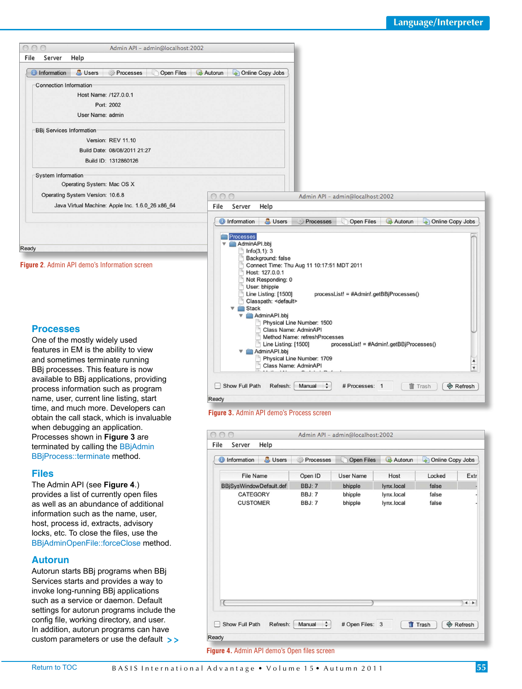

## **Processes**

One of the mostly widely used features in EM is the ability to view and sometimes terminate running BBj processes. This feature is now available to BBj applications, providing process information such as program name, user, current line listing, start time, and much more. Developers can obtain the call stack, which is invaluable when debugging an application. Processes shown in **Figure 3** are terminated by calling the [BBjAdmin](http://documentation.basis.com/BASISHelp/WebHelp/javadocs/com/basis/api/admin/BBjAdminBBjProcess.html)  [BBjProcess::terminate](http://documentation.basis.com/BASISHelp/WebHelp/javadocs/com/basis/api/admin/BBjAdminBBjProcess.html) method.

#### **Files**

The Admin API (see **Figure 4**.) provides a list of currently open files as well as an abundance of additional information such as the name, user, host, process id, extracts, advisory locks, etc. To close the files, use the [BBjAdminOpenFile::forceClose m](http://documentation.basis.com/BASISHelp/WebHelp/javadocs/com/basis/api/admin/BBjAdminOpenFile.html)ethod.

## **Autorun**

Autorun starts BBj programs when BBj Services starts and provides a way to invoke long-running BBj applications such as a service or daemon. Default settings for autorun programs include the config file, working directory, and user. In addition, autorun programs can have custom parameters or use the default **> >**